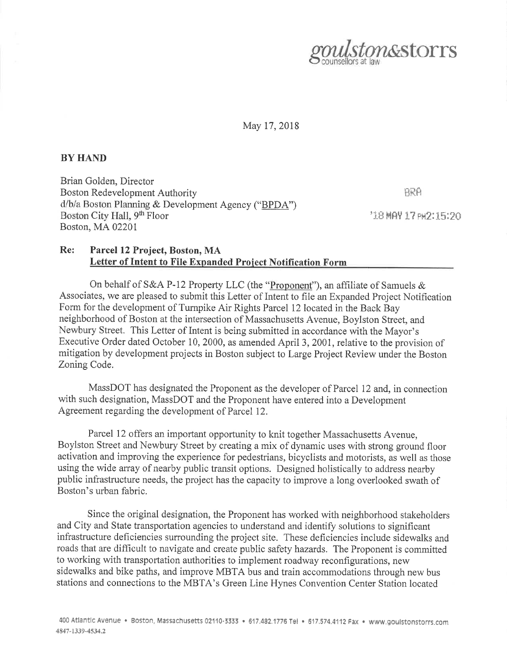

May 17,2018

## BY HAND

Brian Golden, Director Boston Redevelopment Authority d/b/a Boston Planning & Development Agency ("BPDA") Boston City Hall, 9<sup>th</sup> Floor Boston, MA0220l

 $BRA$ 

'18 MAY 17 PW2:15:20

## Re: Parcel 12 Project, Boston, MA Letter of Intent to File Expanded Project Notification Form

On behalf of S&A P-12 Property LLC (the "Proponent"), an affiliate of Samuels  $\&$ Associates, we are pleased to submit this Letter of Intent to file an Expanded Project Notification Form for the development of Turnpike Air Rights Parcel 12 located in the Back Bay neighborhood of Boston at the intersection of Massachusetts Avenue, Boylston Street, and Newbury Street. This Letter of Intent is being submitted in accordance with the Mayor's Executive Order dated October 10, 2000, as amended April 3,2001, relative to the provision of mitigation by development projects in Boston subject to Large Project Review under the Boston Zoning Code.

MassDOT has designated the Proponent as the developer of Parcel 12 and, in connection with such designation, MassDOT and the Proponent have entered into a Development Agreement regarding the development of Parcel 12.

Parcel 12 offers an important opportunity to knit together Massachusetts Avenue, Boylston Street and Newbury Street by creating a mix of dynamic uses with strong ground floor activation and improving the experience for pedestrians, bicyclists and motorists, as well as those using the wide array of nearby public transit options. Designed holistically to address nearby public infrastructure needs, the project has the capacity to improve a long overlooked swath of Boston's urban fabric.

Since the original designation, the Proponent has worked with neighborhood stakeholders and City and State transportation agencies to understand and identify solutions to significant infrastructure deficiencies surrounding the project site. These deficiencies include sidewalks and roads that are difficult to navigate and create public safety hazards. The Proponent is committed to working with transportation authorities to implement roadway reconfigurations, new sidewalks and bike paths, and improve MBTA bus and train accommodations through new bus stations and connections to the MBTA'S Green Line Hynes Convention Center Station located